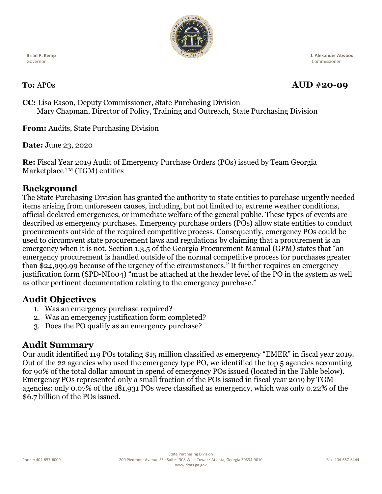

**Brian P. Kemp** Governor

 **J. Alexander Atwood** Commissioner

# **To:** APOs **AUD #20-09**

**CC:** Lisa Eason, Deputy Commissioner, State Purchasing Division Mary Chapman, Director of Policy, Training and Outreach, State Purchasing Division

**From:** Audits, State Purchasing Division

**Date:** June 23, 2020

**Re:** Fiscal Year 2019 Audit of Emergency Purchase Orders (POs) issued by Team Georgia Marketplace <sup>TM</sup> (TGM) entities

### **Background**

The State Purchasing Division has granted the authority to state entities to purchase urgently needed items arising from unforeseen causes, including, but not limited to, extreme weather conditions, official declared emergencies, or immediate welfare of the general public. These types of events are described as emergency purchases. Emergency purchase orders (POs) allow state entities to conduct procurements outside of the required competitive process. Consequently, emergency POs could be used to circumvent state procurement laws and regulations by claiming that a procurement is an emergency when it is not. Section 1.3.5 of the Georgia Procurement Manual (GPM*)* states that "an emergency procurement is handled outside of the normal competitive process for purchases greater than \$24,999.99 because of the urgency of the circumstances." It further requires an emergency justification form (SPD-NI004) "must be attached at the header level of the PO in the system as well as other pertinent documentation relating to the emergency purchase."

## **Audit Objectives**

- 1. Was an emergency purchase required?
- 2. Was an emergency justification form completed?
- 3. Does the PO qualify as an emergency purchase?

#### **Audit Summary**

Our audit identified 119 POs totaling \$15 million classified as emergency "EMER" in fiscal year 2019. Out of the 22 agencies who used the emergency type PO, we identified the top 5 agencies accounting for 90% of the total dollar amount in spend of emergency POs issued (located in the Table below). Emergency POs represented only a small fraction of the POs issued in fiscal year 2019 by TGM agencies: only 0.07% of the 181,931 POs were classified as emergency, which was only 0.22% of the \$6.7 billion of the POs issued.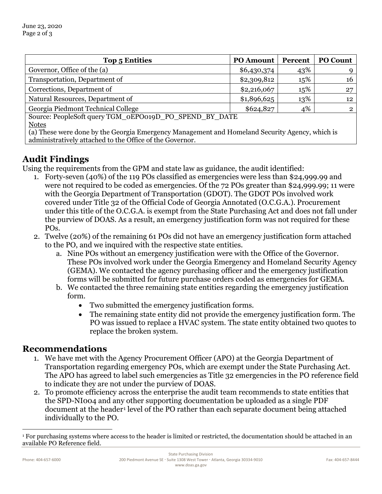| <b>Top 5 Entities</b>                                  | <b>PO</b> Amount | Percent | <b>PO Count</b> |
|--------------------------------------------------------|------------------|---------|-----------------|
| Governor, Office of the (a)                            | \$6,430,374      | 43%     |                 |
| Transportation, Department of                          | \$2,309,812      | 15%     | 16              |
| Corrections, Department of                             | \$2,216,067      | 15%     | 27              |
| Natural Resources, Department of                       | \$1,896,625      | 13%     | 12              |
| Georgia Piedmont Technical College                     | \$624,827        | 4%      | 2               |
| Source: PeopleSoft query TGM_0EPO019D_PO_SPEND_BY_DATE |                  |         |                 |
| <b>Notes</b>                                           |                  |         |                 |

(a) These were done by the Georgia Emergency Management and Homeland Security Agency, which is administratively attached to the Office of the Governor.

## **Audit Findings**

Using the requirements from the GPM and state law as guidance, the audit identified:

- 1. Forty-seven (40%) of the 119 POs classified as emergencies were less than \$24,999.99 and were not required to be coded as emergencies. Of the 72 POs greater than \$24,999.99; 11 were with the Georgia Department of Transportation (GDOT). The GDOT POs involved work covered under Title 32 of the Official Code of Georgia Annotated (O.C.G.A.). Procurement under this title of the O.C.G.A. is exempt from the State Purchasing Act and does not fall under the purview of DOAS. As a result, an emergency justification form was not required for these POs.
- 2. Twelve (20%) of the remaining 61 POs did not have an emergency justification form attached to the PO, and we inquired with the respective state entities.
	- a. Nine POs without an emergency justification were with the Office of the Governor. These POs involved work under the Georgia Emergency and Homeland Security Agency (GEMA). We contacted the agency purchasing officer and the emergency justification forms will be submitted for future purchase orders coded as emergencies for GEMA.
	- b. We contacted the three remaining state entities regarding the emergency justification form.
		- Two submitted the emergency justification forms.
		- The remaining state entity did not provide the emergency justification form. The PO was issued to replace a HVAC system. The state entity obtained two quotes to replace the broken system.

#### **Recommendations**

- 1. We have met with the Agency Procurement Officer (APO) at the Georgia Department of Transportation regarding emergency POs, which are exempt under the State Purchasing Act. The APO has agreed to label such emergencies as Title 32 emergencies in the PO reference field to indicate they are not under the purview of DOAS.
- 2. To promote efficiency across the enterprise the audit team recommends to state entities that the SPD-NI004 and any other supporting documentation be uploaded as a single PDF document at the header<sup>[1](#page-1-0)</sup> level of the PO rather than each separate document being attached individually to the PO.

<span id="page-1-0"></span><sup>1</sup> For purchasing systems where access to the header is limited or restricted, the documentation should be attached in an available PO Reference field.